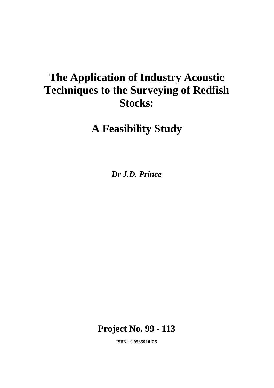# **The Application of Industry Acoustic Techniques to the Surveying of Redfish Stocks:**

**A Feasibility Study**

*Dr J.D. Prince*

**Project No. 99 - 113**

**ISBN - 0 9585910 7 5**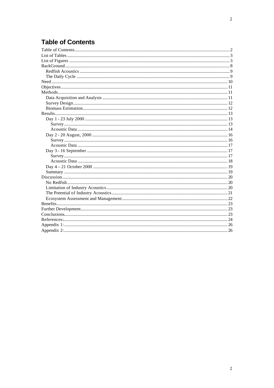## **Table of Contents**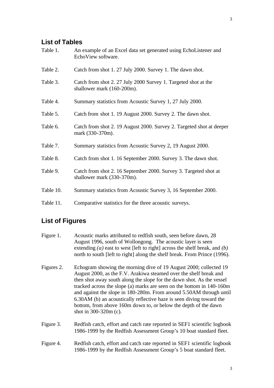## **List of Tables**

| Table 1.  | An example of an Excel data set generated using EchoListener and<br>EchoView software.         |
|-----------|------------------------------------------------------------------------------------------------|
| Table 2.  | Catch from shot 1.27 July 2000. Survey 1. The dawn shot.                                       |
| Table 3.  | Catch from shot 2.27 July 2000 Survey 1. Targeted shot at the<br>shallower mark (160-200m).    |
| Table 4.  | Summary statistics from Acoustic Survey 1, 27 July 2000.                                       |
| Table 5.  | Catch from shot 1.19 August 2000. Survey 2. The dawn shot.                                     |
| Table 6.  | Catch from shot 2. 19 August 2000. Survey 2. Targeted shot at deeper<br>mark (330-370m).       |
| Table 7.  | Summary statistics from Acoustic Survey 2, 19 August 2000.                                     |
| Table 8.  | Catch from shot 1.16 September 2000. Survey 3. The dawn shot.                                  |
| Table 9.  | Catch from shot 2. 16 September 2000. Survey 3. Targeted shot at<br>shallower mark (330-370m). |
| Table 10. | Summary statistics from Acoustic Survey 3, 16 September 2000.                                  |
| Table 11. | Comparative statistics for the three acoustic surveys.                                         |

## **List of Figures**

| Figure 1.  | Acoustic marks attributed to redfish south, seen before dawn, 28<br>August 1996, south of Wollongong. The acoustic layer is seen<br>extending ( <i>a</i> ) east to west [left to right] across the shelf break, and ( <i>b</i> )<br>north to south [left to right] along the shelf break. From Prince (1996).                                                                                                                                                                                                                         |
|------------|---------------------------------------------------------------------------------------------------------------------------------------------------------------------------------------------------------------------------------------------------------------------------------------------------------------------------------------------------------------------------------------------------------------------------------------------------------------------------------------------------------------------------------------|
| Figures 2. | Echogram showing the morning dive of 19 August 2000; collected 19<br>August 2000, as the F.V. Arakiwa steamed over the shelf break and<br>then shot away south along the slope for the dawn shot. As the vessel<br>tracked across the slope (a) marks are seen on the bottom in 140-160m<br>and against the slope in 180-280m. From around 5.50AM through until<br>6.30AM (b) an acoustically reflective haze is seen diving toward the<br>bottom, from above 160m down to, or below the depth of the dawn<br>shot in $300-320m$ (c). |
| Figure 3.  | Redfish catch, effort and catch rate reported in SEF1 scientific logbook<br>1986-1999 by the Redfish Assessment Group's 10 boat standard fleet.                                                                                                                                                                                                                                                                                                                                                                                       |
| Figure 4.  | Redfish catch, effort and catch rate reported in SEF1 scientific logbook<br>1986-1999 by the Redfish Assessment Group's 5 boat standard fleet.                                                                                                                                                                                                                                                                                                                                                                                        |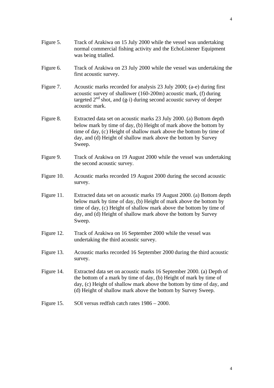- Figure 5. Track of Arakiwa on 15 July 2000 while the vessel was undertaking normal commercial fishing activity and the EchoListener Equipment was being trialled.
- Figure 6. Track of Arakiwa on 23 July 2000 while the vessel was undertaking the first acoustic survey.
- Figure 7. Acoustic marks recorded for analysis 23 July 2000; (a-e) during first acoustic survey of shallower (160-200m) acoustic mark, (f) during targeted  $2<sup>nd</sup>$  shot, and (g-i) during second acoustic survey of deeper acoustic mark.
- Figure 8. Extracted data set on acoustic marks 23 July 2000. (a) Bottom depth below mark by time of day, (b) Height of mark above the bottom by time of day, (c) Height of shallow mark above the bottom by time of day, and (d) Height of shallow mark above the bottom by Survey Sweep.
- Figure 9. Track of Arakiwa on 19 August 2000 while the vessel was undertaking the second acoustic survey.
- Figure 10. Acoustic marks recorded 19 August 2000 during the second acoustic survey.
- Figure 11. Extracted data set on acoustic marks 19 August 2000. (a) Bottom depth below mark by time of day, (b) Height of mark above the bottom by time of day, (c) Height of shallow mark above the bottom by time of day, and (d) Height of shallow mark above the bottom by Survey Sweep.
- Figure 12. Track of Arakiwa on 16 September 2000 while the vessel was undertaking the third acoustic survey.
- Figure 13. Acoustic marks recorded 16 September 2000 during the third acoustic survey.
- Figure 14. Extracted data set on acoustic marks 16 September 2000. (a) Depth of the bottom of a mark by time of day, (b) Height of mark by time of day, (c) Height of shallow mark above the bottom by time of day, and (d) Height of shallow mark above the bottom by Survey Sweep.
- Figure 15. SOI versus redfish catch rates  $1986 2000$ .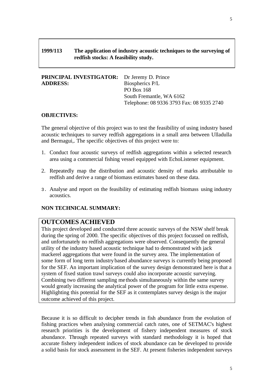#### **1999/113 The application of industry acoustic techniques to the surveying of redfish stocks: A feasibility study.**

| <b>PRINCIPAL INVESTIGATOR:</b> Dr Jeremy D. Prince |                                           |
|----------------------------------------------------|-------------------------------------------|
| <b>ADDRESS:</b>                                    | Biospherics P/L                           |
|                                                    | PO Box 168                                |
|                                                    | South Fremantle, WA 6162                  |
|                                                    | Telephone: 08 9336 3793 Fax: 08 9335 2740 |

#### **OBJECTIVES:**

The general objective of this project was to test the feasibility of using industry based acoustic techniques to survey redfish aggregations in a small area between Ulladulla and Bermagui,. The specific objectives of this project were to:

- 1. Conduct four acoustic surveys of redfish aggregations within a selected research area using a commercial fishing vessel equipped with EchoListener equipment.
- 2. Repeatedly map the distribution and acoustic density of marks attributable to redfish and derive a range of biomass estimates based on these data.
- 3. Analyse and report on the feasibility of estimating redfish biomass using industry acoustics.

#### **NON TECHNICAL SUMMARY:**

#### **OUTCOMES ACHIEVED**

This project developed and conducted three acoustic surveys of the NSW shelf break during the spring of 2000. The specific objectives of this project focussed on redfish, and unfortunately no redfish aggregations were observed. Consequently the general utility of the industry based acoustic technique had to demonstrated with jack mackerel aggregations that were found in the survey area. The implementation of some form of long term industry based abundance surveys is currently being proposed for the SEF. An important implication of the survey design demonstrated here is that a system of fixed station trawl surveys could also incorporate acoustic surveying. Combining two different sampling me thods simultaneously within the same survey would greatly increasing the analytical power of the program for little extra expense. Highlighting this potential for the SEF as it contemplates survey design is the major outcome achieved of this project.

Because it is so difficult to decipher trends in fish abundance from the evolution of fishing practices when analysing commercial catch rates, one of SETMAC's highest research priorities is the development of fishery independent measures of stock abundance. Through repeated surveys with standard methodology it is hoped that accurate fishery independent indices of stock abundance can be developed to provide a solid basis for stock assessment in the SEF. At present fisheries independent surveys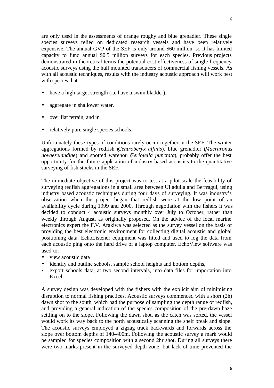are only used in the assessments of orange roughy and blue grenadier. These single species surveys relied on dedicated research vessels and have been relatively expensive. The annual GVP of the SEF is only around \$60 million, so it has limited capacity to fund annual \$0.5 million surveys for each species. Previous projects demonstrated in theoretical terms the potential cost effectiveness of single frequency acoustic surveys using the hull mounted transducers of commercial fishing vessels. As with all acoustic techniques, results with the industry acoustic approach will work best with species that:

- have a high target strength (i.e have a swim bladder),
- aggregate in shallower water,
- over flat terrain, and in
- relatively pure single species schools.

Unfortunately these types of conditions rarely occur together in the SEF. The winter aggregations formed by redfish (*Centroberyx affinis*), blue grenadier (*Macruronus novaezelandiae*) and spotted warehou (*Seriolella punctata*), probably offer the best opportunity for the future application of industry based acoustics to the quantitative surveying of fish stocks in the SEF.

The immediate objective of this project was to test at a pilot scale the feasibility of surveying redfish aggregations in a small area between Ulladulla and Bermagui, using industry based acoustic techniques during four days of surveying. It was industry's observation when the project began that redfish were at the low point of an availability cycle during 1999 and 2000. Through negotiation with the fishers it was decided to conduct 4 acoustic surveys monthly over July to October, rather than weekly through August, as originally proposed. On the advice of the local marine electronics expert the F.V. Arakiwa was selected as the survey vessel on the basis of providing the best electronic environment for collecting digital acoustic and global positioning data. EchoListener equipment was fitted and used to log the data from each acoustic ping onto the hard drive of a laptop computer. EchoView software was used to:

- view acoustic data
- identify and outline schools, sample school heights and bottom depths,
- export schools data, at two second intervals, into data files for importation into Excel

A survey design was developed with the fishers with the explicit aim of minimising disruption to normal fishing practices. Acoustic surveys commenced with a short (2h) dawn shot to the south, which had the purpose of sampling the depth range of redfish, and providing a general indication of the species composition of the pre-dawn haze settling on to the slope. Following the dawn shot, as the catch was sorted, the vessel would work its way back to the north acoustically scanning the shelf break and slope. The acoustic surveys employed a zigzag track backwards and forwards across the slope over bottom depths of 140-400m. Following the acoustic survey a mark would be sampled for species composition with a second 2hr shot. During all surveys there were two marks present in the surveyed depth zone, but lack of time prevented the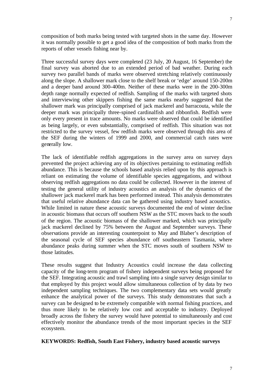composition of both marks being tested with targeted shots in the same day. However it was normally possible to get a good idea of the composition of both marks from the reports of other vessels fishing near by.

Three successful survey days were completed (23 July, 20 August, 16 September) the final survey was aborted due to an extended period of bad weather. During each survey two parallel bands of marks were observed stretching relatively continuously along the slope. A shallower mark close to the shelf break or 'edge' around 150-200m and a deeper band around 300-400m. Neither of these marks were in the 200-300m depth range normally expected of redfish. Sampling of the marks with targeted shots and interviewing other skippers fishing the same marks nearby suggested that the shallower mark was principally comprised of jack mackerel and barracouta, while the deeper mark was principally three-spined cardinalfish and ribbonfish. Redfish were only every present in trace amounts. No marks were observed that could be identified as being largely, or even substantially, comprised of redfish. This situation was not restricted to the survey vessel, few redfish marks were observed through this area of the SEF during the winters of 1999 and 2000, and commercial catch rates were generally low.

The lack of identifiable redfish aggregations in the survey area on survey days prevented the project achieving any of its objectives pertaining to estimating redfish abundance. This is because the schools based analysis relied upon by this approach is reliant on estimating the volume of identifiable species aggregations, and without observing redfish aggregations no data could be collected. However in the interest of testing the general utility of industry acoustics an analysis of the dynamics of the shallower jack mackerel mark has been performed instead. This analysis demonstrates that useful relative abundance data can be gathered using industry based acoustics. While limited in nature these acoustic surveys documented the end of winter decline in acoustic biomass that occurs off southern NSW as the STC moves back to the south of the region. The acoustic biomass of the shallower marked, which was principally jack mackerel declined by 75% between the August and September surveys. These observations provide an interesting counterpoint to May and Blaber's description of the seasonal cycle of SEF species abundance off southeastern Tasmania, where abundance peaks during summer when the STC moves south of southern NSW to those latitudes.

These results suggest that Industry Acoustics could increase the data collecting capacity of the long-term program of fishery independent surveys being proposed for the SEF. Integrating acoustic and trawl sampling into a single survey design similar to that employed by this project would allow simultaneous collection of by data by two independent sampling techniques. The two complementary data sets would greatly enhance the analytical power of the surveys. This study demonstrates that such a survey can be designed to be extremely compatible with normal fishing practices, and thus more likely to be relatively low cost and acceptable to industry. Deployed broadly across the fishery the survey would have potential to simultaneously and cost effectively monitor the abundance trends of the most important species in the SEF ecosystem.

#### **KEYWORDS: Redfish, South East Fishery, industry based acoustic surveys**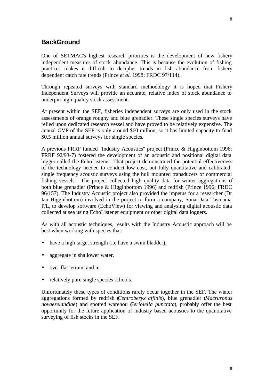One of SETMAC's highest research priorities is the development of new fishery independent measures of stock abundance. This is because the evolution of fishing practices makes it difficult to decipher trends in fish abundance from fishery dependent catch rate trends (Prince *et al.* 1998; FRDC 97/114).

Through repeated surveys with standard methodology it is hoped that Fishery Independent Surveys will provide an accurate, relative index of stock abundance to underpin high quality stock assessment.

At present within the SEF, fisheries independent surveys are only used in the stock assessments of orange roughy and blue grenadier. These single species surveys have relied upon dedicated research vessel and have proved to be relatively expensive. The annual GVP of the SEF is only around \$60 million, so it has limited capacity to fund \$0.5 million annual surveys for single species.

A previous FRRF funded "Industry Acoustics" project (Prince & Higginbottom 1996; FRRF 92/93-7) fostered the development of an acoustic and positional digital data logger called the EchoListener. That project demonstrated the potential effectiveness of the technology needed to conduct low cost, but fully quantitative and calibrated, single frequency acoustic surveys using the hull mounted transducers of commercial fishing vessels. The project collected high quality data for winter aggregations of both blue grenadier (Prince & Higginbottom 1996) and redfish (Prince 1996; FRDC 96/157). The Industry Acoustic project also provided the impetus for a researcher (Dr Ian Higginbottom) involved in the project to form a company, SonarData Tasmania P/L, to develop software (EchoView) for viewing and analysing digital acoustic data collected at sea using EchoListener equipment or other digital data loggers.

As with all acoustic techniques, results with the Industry Acoustic approach will be best when working with species that:

- have a high target strength (i.e have a swim bladder),
- aggregate in shallower water,
- over flat terrain, and in
- relatively pure single species schools.

Unfortunately these types of conditions rarely occur together in the SEF. The winter aggregations formed by redfish (*Centroberyx affinis*), blue grenadier (*Macruronus novaezelandiae*) and spotted warehou (*Seriolella punctata*), probably offer the best opportunity for the future application of industry based acoustics to the quantitative surveying of fish stocks in the SEF.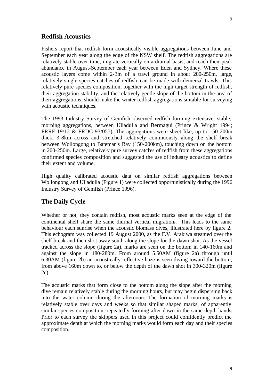#### **Redfish Acoustics**

Fishers report that redfish form acoustically visible aggregations between June and September each year along the edge of the NSW shelf. The redfish aggregations are relatively stable over time, migrate vertically on a diurnal basis, and reach their peak abundance in August-September each year between Eden and Sydney. Where these acoustic layers come within 2-3m of a trawl ground in about 200-250m, large, relatively single species catches of redfish can be made with demersal trawls. This relatively pure species composition, together with the high target strength of redfish, their aggregation stability, and the relatively gentle slope of the bottom in the area of their aggregations, should make the winter redfish aggregations suitable for surveying with acoustic techniques.

The 1993 Industry Survey of Gemfish observed redfish forming extensive, stable, morning aggregations, between Ulladulla and Bermagui (Prince & Wright 1994; FRRF 19/12 & FRDC 93/057). The aggregations were sheet like, up to 150-200m thick, 3-8km across and stretched relatively continuously along the shelf break between Wollongong to Bateman's Bay (150-200km), touching down on the bottom in 200-250m. Large, relatively pure survey catches of redfish from these aggregations confirmed species composition and suggested the use of industry acoustics to define their extent and volume.

High quality calibrated acoustic data on similar redfish aggregations between Wollongong and Ulladulla (Figure 1) were collected opportunistically during the 1996 Industry Survey of Gemfish (Prince 1996).

#### **The Daily Cycle**

Whether or not, they contain redfish, most acoustic marks seen at the edge of the continental shelf share the same diurnal vertical migrations. This leads to the same behaviour each sunrise when the acoustic biomass dives, illustrated here by figure 2. This echogram was collected 19 August 2000, as the F.V. Arakiwa steamed over the shelf break and then shot away south along the slope for the dawn shot. As the vessel tracked across the slope (figure 2a), marks are seen on the bottom in 140-160m and against the slope in 180-280m. From around 5.50AM (figure 2a) through until 6.30AM (figure 2b) an acoustically reflective haze is seen diving toward the bottom, from above 160m down to, or below the depth of the dawn shot in 300-320m (figure 2c).

The acoustic marks that form close to the bottom along the slope after the morning dive remain relatively stable during the morning hours, but may begin dispersing back into the water column during the afternoon. The formation of morning marks is relatively stable over days and weeks so that similar shaped marks, of apparently similar species composition, repeatedly forming after dawn in the same depth bands. Prior to each survey the skippers used in this project could confidently predict the approximate depth at which the morning marks would form each day and their species composition.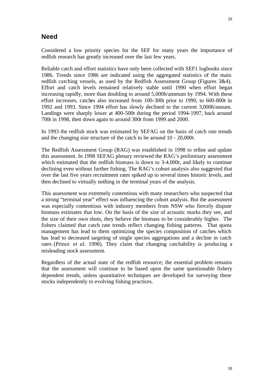#### **Need**

Considered a low priority species for the SEF for many years the importance of redfish research has greatly increased over the last few years.

Reliable catch and effort statistics have only been collected with SEF1 logbooks since 1986. Trends since 1986 are indicated using the aggregated statistics of the main redfish catching vessels, as used by the Redfish Assessment Group (Figures 3&4). Effort and catch levels remained relatively stable until 1990 when effort began increasing rapidly, more than doubling to around 5,000h/ammum by 1994. With these effort increases, catches also increased from 100-300t prior to 1990, to 600-800t in 1992 and 1993. Since 1994 effort has slowly declined to the current 3,000h/annum. Landings were sharply lower at 400-500t during the period 1994-1997, back around 700t in 1998, then down again to around 300t from 1999 and 2000.

In 1993 the redfish stock was estimated by SEFAG on the basis of catch rate trends and the changing size structure of the catch to be around 10 - 20,000t.

The Redfish Assessment Group (RAG) was established in 1998 to refine and update this assessment. In 1998 SEFAG plenary reviewed the RAG's preliminary assessment which estimated that the redfish biomass is down to 3-4,000t, and likely to continue declining even without further fishing. The RAG's cohort analysis also suggested that over the last five years recruitment rates spiked up to several times historic levels, and then declined to virtually nothing in the terminal years of the analysis.

This assessment was extremely contentious with many researchers who suspected that a strong "terminal year" effect was influencing the cohort analysis. But the assessment was especially contentious with industry members from NSW who fiercely dispute biomass estimates that low. On the basis of the size of acoustic marks they see, and the size of their own shots, they believe the biomass to be considerably higher. The fishers claimed that catch rate trends reflect changing fishing patterns. That quota management has lead to them optimizing the species composition of catches which has lead to decreased targeting of single species aggregations and a decline in catch rates (Prince *et al.* 1998). They claim that changing catchability is producing a misleading stock assessment.

Regardless of the actual state of the redfish resource; the essential problem remains that the assessment will continue to be based upon the same questionable fishery dependent trends, unless quantitative techniques are developed for surveying these stocks independently to evolving fishing practices.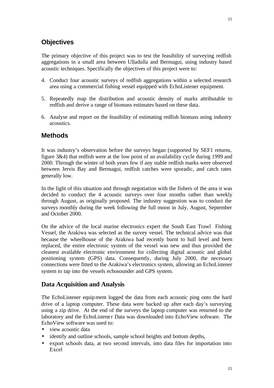The primary objective of this project was to test the feasibility of surveying redfish aggregations in a small area between Ulladulla and Bermagui, using industry based acoustic techniques. Specifically the objectives of this project were to:

- 4. Conduct four acoustic surveys of redfish aggregations within a selected research area using a commercial fishing vessel equipped with EchoListener equipment.
- 5. Repeatedly map the distribution and acoustic density of marks attributable to redfish and derive a range of biomass estimates based on these data.
- 6. Analyse and report on the feasibility of estimating redfish biomass using industry acoustics.

### **Methods**

It was industry's observation before the surveys began (supported by SEF1 returns, figure 3&4) that redfish were at the low point of an availability cycle during 1999 and 2000. Through the winter of both years few if any stable redfish marks were observed between Jervis Bay and Bermagui, redfish catches were sporadic, and catch rates generally low.

In the light of this situation and through negotiation with the fishers of the area it was decided to conduct the 4 acoustic surveys over four months rather than weekly through August, as originally proposed. The industry suggestion was to conduct the surveys monthly during the week following the full moon in July, August, September and October 2000.

On the advice of the local marine electronics expert the South East Trawl Fishing Vessel, the Arakiwa was selected as the survey vessel. The technical advice was that because the wheelhouse of the Arakiwa had recently burnt to hull level and been replaced, the entire electronic system of the vessel was new and thus provided the cleanest available electronic environment for collecting digital acoustic and global positioning system (GPS) data. Consequently, during July 2000, the necessary connections were fitted to the Arakiwa's electronics system, allowing an EchoListener system to tap into the vessels echosounder and GPS system.

### **Data Acquisition and Analysis**

The EchoListener equipment logged the data from each acoustic ping onto the hard drive of a laptop computer. These data were backed up after each day's surveying using a zip drive. At the end of the surveys the laptop computer was returned to the laboratory and the EchoListene r Data was downloaded into EchoView software. The EchoView software was used to:

- view acoustic data
- identify and outline schools, sample school heights and bottom depths,
- export schools data, at two second intervals, into data files for importation into Excel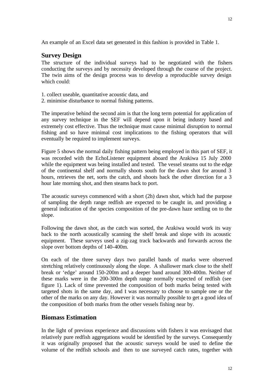#### **Survey Design**

The structure of the individual surveys had to be negotiated with the fishers conducting the surveys and by necessity developed through the course of the project. The twin aims of the design process was to develop a reproducible survey design which could:

- 1. collect useable, quantitative acoustic data, and
- 2. minimise disturbance to normal fishing patterns.

The imperative behind the second aim is that the long term potential for application of any survey technique in the SEF will depend upon it being industry based and extremely cost effective. Thus the technique must cause minimal disruption to normal fishing and so have minimal cost implications to the fishing operators that will eventually be required to implement surveys.

Figure 5 shows the normal daily fishing pattern being employed in this part of SEF, it was recorded with the EchoListener equipment aboard the Arakiwa 15 July 2000 while the equipment was being installed and tested. The vessel steams out to the edge of the continental shelf and normally shoots south for the dawn shot for around 3 hours, retrieves the net, sorts the catch, and shoots back the other direction for a 3 hour late morning shot, and then steams back to port.

The acoustic surveys commenced with a short (2h) dawn shot, which had the purpose of sampling the depth range redfish are expected to be caught in, and providing a general indication of the species composition of the pre-dawn haze settling on to the slope.

Following the dawn shot, as the catch was sorted, the Arakiwa would work its way back to the north acoustically scanning the shelf break and slope with its acoustic equipment. These surveys used a zig-zag track backwards and forwards across the slope over bottom depths of 140-400m.

On each of the three survey days two parallel bands of marks were observed stretching relatively continuously along the slope. A shallower mark close to the shelf break or 'edge' around 150-200m and a deeper band around 300-400m. Neither of these marks were in the 200-300m depth range normally expected of redfish (see figure 1). Lack of time prevented the composition of both marks being tested with targeted shots in the same day, and it was necessary to choose to sample one or the other of the marks on any day. However it was normally possible to get a good idea of the composition of both marks from the other vessels fishing near by.

#### **Biomass Estimation**

In the light of previous experience and discussions with fishers it was envisaged that relatively pure redfish aggregations would be identified by the surveys. Consequently it was originally proposed that the acoustic surveys would be used to define the volume of the redfish schools and then to use surveyed catch rates, together with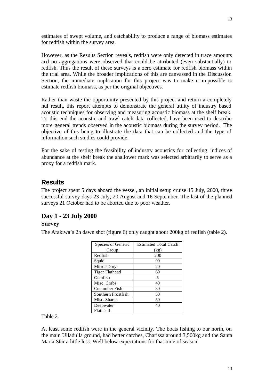estimates of swept volume, and catchability to produce a range of biomass estimates for redfish within the survey area.

However, as the Results Section reveals, redfish were only detected in trace amounts and no aggregations were observed that could be attributed (even substantially) to redfish. Thus the result of these surveys is a zero estimate for redfish biomass within the trial area. While the broader implications of this are canvassed in the Discussion Section, the immediate implication for this project was to make it impossible to estimate redfish biomass, as per the original objectives.

Rather than waste the opportunity presented by this project and return a completely nul result, this report attempts to demonstrate the general utility of industry based acoustic techniques for observing and measuring acoustic biomass at the shelf break. To this end the acoustic and trawl catch data collected, have been used to describe more general trends observed in the acoustic biomass during the survey period. The objective of this being to illustrate the data that can be collected and the type of information such studies could provide.

For the sake of testing the feasibility of industry acoustics for collecting indices of abundance at the shelf break the shallower mark was selected arbitrarily to serve as a proxy for a redfish mark.

#### **Results**

The project spent 5 days aboard the vessel, an initial setup cruise 15 July, 2000, three successful survey days 23 July, 20 August and 16 September. The last of the planned surveys 21 October had to be aborted due to poor weather.

#### **Day 1 - 23 July 2000 Survey**

The Arakiwa's 2h dawn shot (figure 6) only caught about 200kg of redfish (table 2).

| Species or Generic | <b>Estimated Total Catch</b> |
|--------------------|------------------------------|
| Group              | (kg)                         |
| Redfish            | 200                          |
| Squid              | 90                           |
| Mirror Dory        | 20                           |
| Tiger Flathead     | 60                           |
| Gemfish            | 5                            |
| Misc. Crabs        | 40                           |
| Cucumber Fish      | 80                           |
| Southern Frostfish | 50                           |
| Misc. Sharks       | 50                           |
| Deepwater          | 40                           |
| Flathead           |                              |

Table 2.

At least some redfish were in the general vicinity. The boats fishing to our north, on the main Ulladulla ground, had better catches, Charissa around 3,500kg and the Santa Maria Star a little less. Well below expectations for that time of season.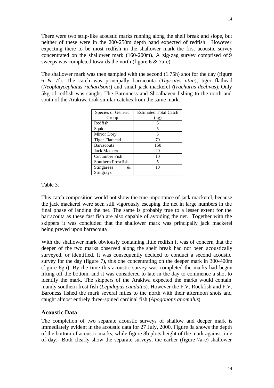There were two strip-like acoustic marks running along the shelf break and slope, but neither of these were in the 200-250m depth band expected of redfish. However expecting there to be most redfish in the shallower mark the first acoustic survey concentrated on the shallower mark (160-200m). A zig-zag survey comprised of 9 sweeps was completed towards the north (figure 6 & 7a-e).

The shallower mark was then sampled with the second (1.75h) shot for the day (figure 6 & 7f). The catch was principally barracouta (*Thyrsites atun*), tiger flathead (*Neoplatycephalus richardsoni*) and small jack mackerel (*Trachurus declivus*). Only 5kg of redfish was caught. The Baronness and Shoalhaven fishing to the north and south of the Arakiwa took similar catches from the same mark.

| Species or Generic   | <b>Estimated Total Catch</b> |
|----------------------|------------------------------|
| Group                | (kg)                         |
| Redfish              | 5                            |
| Squid                | 5                            |
| Mirror Dory          | 5                            |
| Tiger Flathead       | 70                           |
| <b>Barracouta</b>    | 150                          |
| <b>Jack Mackerel</b> | 20                           |
| Cucumber Fish        | 10                           |
| Southern Frostfish   | 5                            |
| &<br>Stingarees      | 10                           |
| Stingrays            |                              |

Table 3.

This catch composition would not show the true importance of jack mackerel, because the jack mackerel were seen still vigorously escaping the net in large numbers in the final phase of landing the net. The same is probably true to a lesser extent for the barracouta as these fast fish are also capable of avoiding the net. Together with the skippers it was concluded that the shallower mark was principally jack mackerel being preyed upon barracouta

With the shallower mark obviously containing little redfish it was of concern that the deeper of the two marks observed along the shelf break had not been acoustically surveyed, or identified. It was consequently decided to conduct a second acoustic survey for the day (figure 7), this one concentrating on the deeper mark in 300-400m (figure 8g-i). By the time this acoustic survey was completed the marks had begun lifting off the bottom, and it was considered to late in the day to commence a shot to identify the mark. The skippers of the Arakiwa expected the marks would contain mainly southern frost fish (*Lepidopus caudatus*). However the F.V. Rockfish and F.V. Baroness fished the mark several miles to the north with their afternoon shots and caught almost entirely three-spined cardinal fish (*Apogonops anomalus*).

#### **Acoustic Data**

The completion of two separate acoustic surveys of shallow and deeper mark is immediately evident in the acoustic data for 27 July, 2000. Figure 8a shows the depth of the bottom of acoustic marks, while figure 8b plots height of the mark against time of day. Both clearly show the separate surveys; the earlier (figure 7a-e) shallower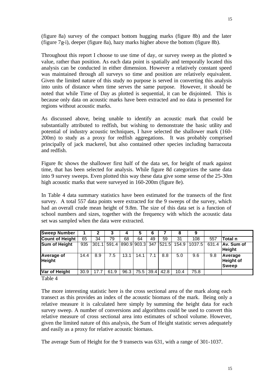(figure 8a) survey of the compact bottom hugging marks (figure 8b) and the later (figure 7g-i), deeper (figure 8a), hazy marks higher above the bottom (figure 8b).

Throughout this report I choose to use time of day, or survey sweep as the plotted xvalue, rather than position. As each data point is spatially and temporally located this analysis can be conducted in either dimension. However a relatively constant speed was maintained through all surveys so time and position are relatively equivalent. Given the limited nature of this study no purpose is served in converting this analysis into units of distance when time serves the same purpose. However, it should be noted that while Time of Day as plotted is sequential, it can be disjointed. This is because only data on acoustic marks have been extracted and no data is presented for regions without acoustic marks.

As discussed above, being unable to identify an acoustic mark that could be substantially attributed to redfish, but wishing to demonstrate the basic utility and potential of industry acoustic techniques, I have selected the shallower mark (160- 200m) to study as a proxy for redfish aggregations. It was probably comprised principally of jack mackerel, but also contained other species including barracouta and redfish.

Figure 8c shows the shallower first half of the data set, for height of mark against time, that has been selected for analysis. While figure 8d categorizes the same data into 9 survey sweeps. Even plotted this way these data give some sense of the 25-30m high acoustic marks that were surveyed in 160-200m (figure 8e).

In Table 4 data summary statistics have been estimated for the transects of the first survey. A total 557 data points were extracted for the 9 sweeps of the survey, which had an overall crude mean height of 9.8m. The size of this data set is a function of school numbers and sizes, together with the frequency with which the acoustic data set was sampled when the data were extracted.

| <b>Sweep Number</b>         |      | 2     |       |                 | 5         | 6   |       | 8     |        |       |                                             |
|-----------------------------|------|-------|-------|-----------------|-----------|-----|-------|-------|--------|-------|---------------------------------------------|
| <b>Count of Height</b>      | 65   | 34    | 79    | 68              | 64        | 49  | 59    | 31    | 108    | 557   | Total n                                     |
| <b>Sum of Height</b>        | 935  | 301.1 | 591.4 | 890.9 903.3 347 |           |     | 521.5 | 154.9 | 1037.5 | 631.4 | <b>JAy.</b> Sum of<br><b>Height</b>         |
| Average of<br><b>Height</b> | 14.4 | 8.9   | 7.5   | 13.1            | 14.1      | 7.1 | 8.8   | 5.0   | 9.6    | 9.8   | Average<br><b>Height of</b><br><b>Sweep</b> |
| Var of Height               | 30.9 | 17.7  | 61.9  | 96.3            | 75.5 39.4 |     | 42.8  | 10.4  | 75.8   |       |                                             |

Table 4

The more interesting statistic here is the cross sectional area of the mark along each transect as this provides an index of the acoustic biomass of the mark. Being only a relative measure it is calculated here simply by summing the height data for each survey sweep. A number of conversions and algorithms could be used to convert this relative measure of cross sectional area into estimates of school volume. However, given the limited nature of this analysis, the Sum of Height statistic serves adequately and easily as a proxy for relative acoustic biomass.

The average Sum of Height for the 9 transects was 631, with a range of 301-1037.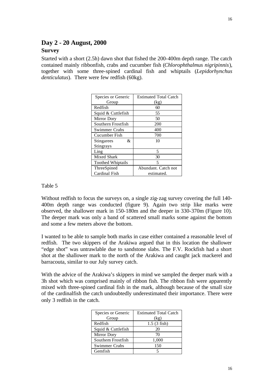## **Day 2 - 20 August, 2000**

#### **Survey**

Started with a short (2.5h) dawn shot that fished the 200-400m depth range. The catch contained mainly ribbonfish, crabs and cucumber fish (*Chlorophthalmus nigripinnis*), together with some three-spined cardinal fish and whiptails (*Lepidorhynchus denticulatus*). There were few redfish (60kg).

| Species or Generic       | <b>Estimated Total Catch</b> |  |  |  |  |  |
|--------------------------|------------------------------|--|--|--|--|--|
| Group                    | (kg)                         |  |  |  |  |  |
| Redfish                  | 60                           |  |  |  |  |  |
| Squid & Cuttlefish       | 55                           |  |  |  |  |  |
| Mirror Dory              | 50                           |  |  |  |  |  |
| Southern Frostfish       | 200                          |  |  |  |  |  |
| Swimmer Crabs            | 400                          |  |  |  |  |  |
| Cucumber Fish            | 700                          |  |  |  |  |  |
| &<br>Stingarees          | 10                           |  |  |  |  |  |
| Stingrays                |                              |  |  |  |  |  |
| Ling                     | 5                            |  |  |  |  |  |
| Mixed Shark              | 30                           |  |  |  |  |  |
| <b>Toothed Whiptails</b> | 5                            |  |  |  |  |  |
| ThreeSpined              | Abundant. Catch not          |  |  |  |  |  |
| Cardinal Fish            | estimated.                   |  |  |  |  |  |

Table 5

Without redfish to focus the surveys on, a single zig-zag survey covering the full 140- 400m depth range was conducted (figure 9). Again two strip like marks were observed, the shallower mark in 150-180m and the deeper in 330-370m (Figure 10). The deeper mark was only a band of scattered small marks some against the bottom and some a few meters above the bottom.

I wanted to be able to sample both marks in case either contained a reasonable level of redfish. The two skippers of the Arakiwa argued that in this location the shallower "edge shot" was untrawlable due to sandstone slabs. The F.V. Rockfish had a short shot at the shallower mark to the north of the Arakiwa and caught jack mackerel and barracouta, similar to our July survey catch.

With the advice of the Arakiwa's skippers in mind we sampled the deeper mark with a 3h shot which was comprised mainly of ribbon fish. The ribbon fish were apparently mixed with three-spined cardinal fish in the mark, although because of the small size of the cardinalfish the catch undoubtedly underestimated their importance. There were only 3 redfish in the catch.

| Species or Generic   | <b>Estimated Total Catch</b> |
|----------------------|------------------------------|
| Group                | (kg)                         |
| Redfish              | $1.5(3$ fish)                |
| Squid & Cuttlefish   | 20                           |
| <b>Mirror Dory</b>   | 70                           |
| Southern Frostfish   | 1,000                        |
| <b>Swimmer Crabs</b> | 150                          |
| Gemfish              |                              |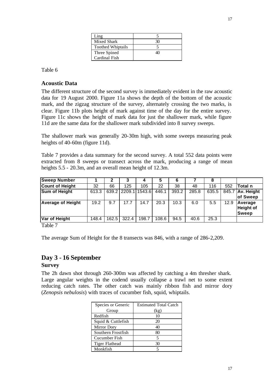| Ling                     |  |
|--------------------------|--|
| Mixed Shark              |  |
| <b>Toothed Whiptails</b> |  |
| Three Spined             |  |
| Cardinal Fish            |  |

Table 6

#### **Acoustic Data**

The different structure of the second survey is immediately evident in the raw acoustic data for 19 August 2000. Figure 11a shows the depth of the bottom of the acoustic mark, and the zigzag structure of the survey, alternately crossing the two marks, is clear. Figure 11b plots height of mark against time of the day for the entire survey. Figure 11c shows the height of mark data for just the shallower mark, while figure 11d are the same data for the shallower mark subdivided into 8 survey sweeps.

The shallower mark was generally 20-30m high, with some sweeps measuring peak heights of 40-60m (figure 11d).

Table 7 provides a data summary for the second survey. A total 552 data points were extracted from 8 sweeps or transect across the mark, producing a range of mean heights 5.5 - 20.3m, and an overall mean height of 12.3m.

| <b>Sweep Number</b>      |       |       | ּ                         |        | 5     | 6     |       | 8     |      |                                      |
|--------------------------|-------|-------|---------------------------|--------|-------|-------|-------|-------|------|--------------------------------------|
| <b>Count of Height</b>   | 32    | 66    | 125                       | 105    | 22    | 38    | 48    | 116   | 552  | <b>Total n</b>                       |
| <b>Sum of Height</b>     | 613.3 |       | $\overline{639.2}$ 2209.1 | 1543.6 | 446.1 | 393.2 | 285.8 | 635.5 |      | 845.7 Av. Height                     |
|                          |       |       |                           |        |       |       |       |       |      | of Sweep                             |
| <b>Average of Height</b> | 19.2  | 9.7   | 17.7                      | 14.7   | 20.3  | 10.3  | 6.0   | 5.5   | 12.9 | Average<br><b>Height of</b><br>Sweep |
| Var of Height            | 148.4 | 162.5 | 322.4                     | 198.7  | 108.6 | 94.5  | 40.6  | 25.3  |      |                                      |

Table 7

The average Sum of Height for the 8 transects was 846, with a range of 286-2,209.

### **Day 3 - 16 September**

#### **Survey**

The 2h dawn shot through 260-300m was affected by catching a 4m thresher shark. Large angular weights in the codend usually collapse a trawl net to some extent reducing catch rates. The other catch was mainly ribbon fish and mirror dory (*Zenopsis nebulosis*) with traces of cucumber fish, squid, whiptails.

| Species or Generic | <b>Estimated Total Catch</b> |
|--------------------|------------------------------|
| Group              | (kg)                         |
| Redfish            | 10                           |
| Squid & Cuttlefish | 20                           |
| Mirror Dory        | 40                           |
| Southern Frostfish | ରଠ                           |
| Cucumber Fish      |                              |
| Tiger Flathead     | 30                           |
| Monkfish           |                              |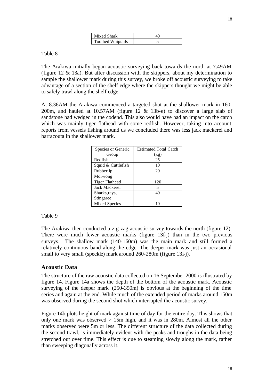| Mixed Shark              |  |  |  |  |  |
|--------------------------|--|--|--|--|--|
| <b>Toothed Whiptails</b> |  |  |  |  |  |

Table 8

The Arakiwa initially began acoustic surveying back towards the north at 7.49AM (figure 12 & 13a). But after discussion with the skippers, about my determination to sample the shallower mark during this survey, we broke off acoustic surveying to take advantage of a section of the shelf edge where the skippers thought we might be able to safely trawl along the shelf edge.

At 8.36AM the Arakiwa commenced a targeted shot at the shallower mark in 160- 200m, and hauled at 10.57AM (figure 12 & 13b-e) to discover a large slab of sandstone had wedged in the codend. This also would have had an impact on the catch which was mainly tiger flathead with some redfish. However, taking into account reports from vessels fishing around us we concluded there was less jack mackerel and barracouta in the shallower mark.

| Species or Generic | <b>Estimated Total Catch</b> |  |  |  |  |
|--------------------|------------------------------|--|--|--|--|
| Group              | (kg)                         |  |  |  |  |
| Redfish            | 25                           |  |  |  |  |
| Squid & Cuttlefish | 10                           |  |  |  |  |
| Rubberlip          | 20                           |  |  |  |  |
| Morwong            |                              |  |  |  |  |
| Tiger Flathead     | 120                          |  |  |  |  |
| Jack Mackerel      | 5                            |  |  |  |  |
| Sharks, rays,      | 40                           |  |  |  |  |
| Stingaree          |                              |  |  |  |  |
| Mixed Species      |                              |  |  |  |  |

Table 9

The Arakiwa then conducted a zig-zag acoustic survey towards the north (figure 12). There were much fewer acoustic marks (figure 13f-j) than in the two previous surveys. The shallow mark (140-160m) was the main mark and still formed a relatively continuous band along the edge. The deeper mark was just an occasional small to very small (speckle) mark around 260-280m (figure 13f-j).

#### **Acoustic Data**

The structure of the raw acoustic data collected on 16 September 2000 is illustrated by figure 14. Figure 14a shows the depth of the bottom of the acoustic mark. Acoustic surveying of the deeper mark (250-350m) is obvious at the beginning of the time series and again at the end. While much of the extended period of marks around 150m was observed during the second shot which interrupted the acoustic survey.

Figure 14b plots height of mark against time of day for the entire day. This shows that only one mark was observed > 15m high, and it was in 280m. Almost all the other marks observed were 5m or less. The different structure of the data collected during the second trawl, is immediately evident with the peaks and troughs in the data being stretched out over time. This effect is due to steaming slowly along the mark, rather than sweeping diagonally across it.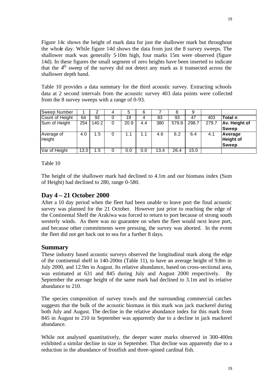Figure 14c shows the height of mark data for just the shallower mark but throughout the whole day. While figure 14d shows the data from just the 8 survey sweeps. The shallower mark was generally 5-10m high, four marks 15m were observed (figure 14d). In these figures the small segment of zero heights have been inserted to indicate that the  $4<sup>th</sup>$  sweep of the survey did not detect any mark as it transected across the shallower depth band.

Table 10 provides a data summary for the third acoustic survey. Extracting schools data at 2 second intervals from the acoustic survey 403 data points were collected from the 8 survey sweeps with a range of 0-93.

| Sweep Number         |      |       | 5    | 6   |      |                    |       |       |                                             |
|----------------------|------|-------|------|-----|------|--------------------|-------|-------|---------------------------------------------|
| Count of Height      | 64   | 92    | 19   | 4   | 83   | 93                 | 47    | 403   | Total n                                     |
| Sum of Height        | 254  | 140.2 | 20.9 | 4.4 | 380  | $\overline{579.8}$ | 298.7 | 279.7 | Av. Height of                               |
|                      |      |       |      |     |      |                    |       |       | <b>Sweep</b>                                |
| Average of<br>Height | 4.0  | 1.5   |      |     | 4.6  | 6.2                | 6.4   | 4.1   | Average<br><b>Height of</b><br><b>Sweep</b> |
| Var of Height        | 13.0 | 5. ا  | 0.0  | 0.0 | 13.4 | 26.4               | 15.0  |       |                                             |

Table 10

The height of the shallower mark had declined to 4.1m and our biomass index (Sum of Height) had declined to 280, range 0-580.

#### **Day 4 – 21 October 2000**

After a 10 day period when the fleet had been unable to leave port the final acoustic survey was planned for the 21 October. However just prior to reaching the edge of the Continental Shelf the Arakiwa was forced to return to port because of strong south westerly winds. As there was no guarantee on when the fleet would next leave port, and because other commitments were pressing, the survey was aborted. In the event the fleet did not get back out to sea for a further 8 days.

#### **Summary**

These industry based acoustic surveys observed the longitudinal mark along the edge of the continental shelf in 140-200m (Table 11), to have an average height of 9.8m in July 2000, and 12.9m in August. Its relative abundance, based on cross-sectional area, was estimated at 631 and 845 during July and August 2000 respectively. By September the average height of the same mark had declined to 3.1m and its relative abundance to 210.

The species composition of survey trawls and the surrounding commercial catches suggests that the bulk of the acoustic biomass in this mark was jack mackerel during both July and August. The decline in the relative abundance index for this mark from 845 in August to 210 in September was apparently due to a decline in jack mackerel abundance.

While not analysed quantitatively, the deeper water marks observed in 300-400m exhibited a similar decline in size in September. That decline was apparently due to a reduction in the abundance of frostfish and three-spined cardinal fish.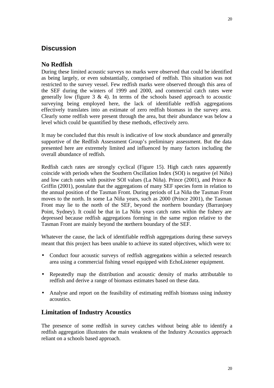### **Discussion**

### **No Redfish**

During these limited acoustic surveys no marks were observed that could be identified as being largely, or even substantially, comprised of redfish. This situation was not restricted to the survey vessel. Few redfish marks were observed through this area of the SEF during the winters of 1999 and 2000, and commercial catch rates were generally low (figure  $3 \& 4$ ). In terms of the schools based approach to acoustic surveying being employed here, the lack of identifiable redfish aggregations effectively translates into an estimate of zero redfish biomass in the survey area. Clearly some redfish were present through the area, but their abundance was below a level which could be quantified by these methods, effectively zero.

It may be concluded that this result is indicative of low stock abundance and generally supportive of the Redfish Assessment Group's preliminary assessment. But the data presented here are extremely limited and influenced by many factors including the overall abundance of redfish.

Redfish catch rates are strongly cyclical (Figure 15). High catch rates apparently coincide with periods when the Southern Oscillation Index (SOI) is negative (el Niño) and low catch rates with positive SOI values (La Niña). Prince (2001), and Prince & Griffin (2001), postulate that the aggregations of many SEF species form in relation to the annual position of the Tasman Front. During periods of La Niña the Tasman Front moves to the north. In some La Niña years, such as 2000 (Prince 2001), the Tasman Front may lie to the north of the SEF, beyond the northern boundary (Barranjoey Point, Sydney). It could be that in La Niña years catch rates within the fishery are depressed because redfish aggregations forming in the same region relative to the Tasman Front are mainly beyond the northern boundary of the SEF.

Whatever the cause, the lack of identifiable redfish aggregations during these surveys meant that this project has been unable to achieve its stated objectives, which were to:

- Conduct four acoustic surveys of redfish aggregations within a selected research area using a commercial fishing vessel equipped with EchoListener equipment.
- Repeatedly map the distribution and acoustic density of marks attributable to redfish and derive a range of biomass estimates based on these data.
- Analyse and report on the feasibility of estimating redfish biomass using industry acoustics.

#### **Limitation of Industry Acoustics**

The presence of some redfish in survey catches without being able to identify a redfish aggregation illustrates the main weakness of the Industry Acoustics approach reliant on a schools based approach.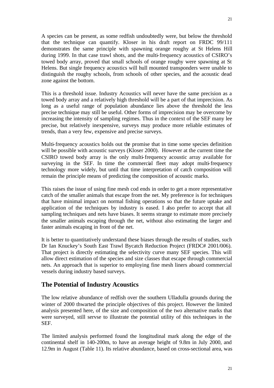21

A species can be present, as some redfish undoubtedly were, but below the threshold that the technique can quantify. Kloser in his draft report on FRDC 99/111 demonstrates the same principle with spawning orange roughy at St Helens Hill during 1999. In that case trawl shots, and the multi-frequency acoustics of CSIRO's towed body array, proved that small schools of orange roughy were spawning at St Helens. But single frequency acoustics will hull mounted transponders were unable to distinguish the roughy schools, from schools of other species, and the acoustic dead zone against the bottom.

This is a threshold issue. Industry Acoustics will never have the same precision as a towed body array and a relatively high threshold will be a part of that imprecision. As long as a useful range of population abundance lies above the threshold the less precise technique may still be useful. Other forms of imprecision may be overcome by increasing the intensity of sampling regimes. Thus in the context of the SEF many lee precise, but relatively inexpensive, surveys may produce more reliable estimates of trends, than a very few, expensive and precise surveys.

Multi-frequency acoustics holds out the promise that in time some species definition will be possible with acoustic surveys (Kloser 2000). However at the current time the CSIRO towed body array is the only multi-frequency acoustic array available for surveying in the SEF. In time the commercial fleet may adopt multi-frequency technology more widely, but until that time interpretation of catch composition will remain the principle means of predicting the composition of acoustic marks.

This raises the issue of using fine mesh cod ends in order to get a more representative catch of the smaller animals that escape from the net. My preference is for techniques that have minimal impact on normal fishing operations so that the future uptake and application of the techniques by industry is eased. I also prefer to accept that all sampling techniques and nets have biases. It seems strange to estimate more precisely the smaller animals escaping through the net, without also estimating the larger and faster animals escaping in front of the net.

It is better to quantitatively understand these biases through the results of studies, such Dr Ian Knuckey's South East Trawl Bycatch Reduction Project (FRDC# 2001/006). That project is directly estimating the selectivity curve many SEF species. This will allow direct estimation of the species and size classes that escape through commercial nets. An approach that is superior to employing fine mesh liners aboard commercial vessels during industry based surveys.

#### **The Potential of Industry Acoustics**

The low relative abundance of redfish over the southern Ulladulla grounds during the winter of 2000 thwarted the principle objectives of this project. However the limited analysis presented here, of the size and composition of the two alternative marks that were surveyed, still servse to illustrate the potential utility of this techniques in the SEF.

The limited analysis performed found the longitudinal mark along the edge of the continental shelf in 140-200m, to have an average height of 9.8m in July 2000, and 12.9m in August (Table 11). Its relative abundance, based on cross-sectional area, was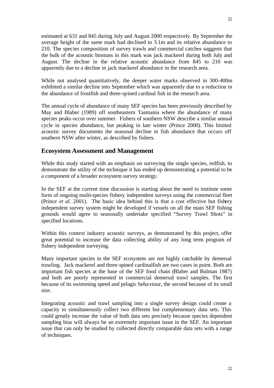estimated at 631 and 845 during July and August 2000 respectively. By September the average height of the same mark had declined to 3.1m and its relative abundance to 210. The species composition of survey trawls and commercial catches suggests that the bulk of the acoustic biomass in this mark was jack mackerel during both July and August. The decline in the relative acoustic abundance from 845 to 210 was apparently due to a decline in jack mackerel abundance in the research area.

While not analysed quantitatively, the deeper water marks observed in 300-400m exhibited a similar decline into September which was apparently due to a reduction in the abundance of frostfish and three-spined cardinal fish in the research area.

The annual cycle of abundance of many SEF species has been previously described by May and Blaber (1989) off southeastern Tasmania where the abundance of many species peaks occur over summer. Fishers of southern NSW describe a similar annual cycle in species abundance, but peaking in late winter (Prince 2000). This limited acoustic survey documents the seasonal decline in fish abundance that occurs off southern NSW after winter, as described by fishers.

#### **Ecosystem Assessment and Management**

While this study started with an emphasis on surveying the single species, redfish, to demonstrate the utility of the technique it has ended up demonstrating a potential to be a component of a broader ecosystem survey strategy.

In the SEF at the current time discussion is starting about the need to institute some form of ongoing multi-species fishery independent surveys using the commercial fleet (Prince *et al.* 2001). The basic idea behind this is that a cost effective but fishery independent survey system might be developed if vessels on all the main SEF fishing grounds would agree to seasonally undertake specified "Survey Trawl Shots" in specified locations.

Within this context industry acoustic surveys, as demonstrated by this project, offer great potential to increase the data collecting ability of any long term program of fishery independent surveying.

Many important species in the SEF ecosystem are not highly catchable by demersal trawling. Jack mackerel and three-spined cardinalfish are two cases in point. Both are important fish species at the base of the SEF food chain (Blaber and Bulman 1987) and both are poorly represented in commercial demersal trawl samples. The first because of its swimming speed and pelagic behaviour, the second because of its small size.

Integrating acoustic and trawl sampling into a single survey design could create a capacity to simultaneously collect two different but complementary data sets. This could greatly increase the value of both data sets precisely because species dependent sampling bias will always be an extremely important issue in the SEF. An important issue that can only be studied by collected directly comparable data sets with a range of techniques.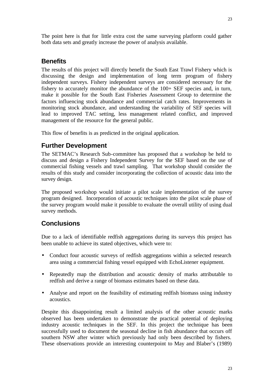The point here is that for little extra cost the same surveying platform could gather both data sets and greatly increase the power of analysis available.

#### **Benefits**

The results of this project will directly benefit the South East Trawl Fishery which is discussing the design and implementation of long term program of fishery independent surveys. Fishery independent surveys are considered necessary for the fishery to accurately monitor the abundance of the 100+ SEF species and, in turn, make it possible for the South East Fisheries Assessment Group to determine the factors influencing stock abundance and commercial catch rates. Improvements in monitoring stock abundance, and understanding the variability of SEF species will lead to improved TAC setting, less management related conflict, and improved management of the resource for the general public.

This flow of benefits is as predicted in the original application.

#### **Further Development**

The SETMAC's Research Sub-committee has proposed that a workshop be held to discuss and design a Fishery Independent Survey for the SEF based on the use of commercial fishing vessels and trawl sampling. That workshop should consider the results of this study and consider incorporating the collection of acoustic data into the survey design.

The proposed workshop would initiate a pilot scale implementation of the survey program designed. Incorporation of acoustic techniques into the pilot scale phase of the survey program would make it possible to evaluate the overall utility of using dual survey methods.

#### **Conclusions**

Due to a lack of identifiable redfish aggregations during its surveys this project has been unable to achieve its stated objectives, which were to:

- Conduct four acoustic surveys of redfish aggregations within a selected research area using a commercial fishing vessel equipped with EchoListener equipment.
- Repeatedly map the distribution and acoustic density of marks attributable to redfish and derive a range of biomass estimates based on these data.
- Analyse and report on the feasibility of estimating redfish biomass using industry acoustics.

Despite this disappointing result a limited analysis of the other acoustic marks observed has been undertaken to demonstrate the practical potential of deploying industry acoustic techniques in the SEF. In this project the technique has been successfully used to document the seasonal decline in fish abundance that occurs off southern NSW after winter which previously had only been described by fishers. These observations provide an interesting counterpoint to May and Blaber's (1989)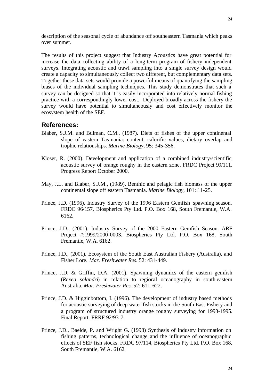description of the seasonal cycle of abundance off southeastern Tasmania which peaks over summer.

The results of this project suggest that Industry Acoustics have great potential for increase the data collecting ability of a long-term program of fishery independent surveys. Integrating acoustic and trawl sampling into a single survey design would create a capacity to simultaneously collect two different, but complementary data sets. Together these data sets would provide a powerful means of quantifying the sampling biases of the individual sampling techniques. This study demonstrates that such a survey can be designed so that it is easily incorporated into relatively normal fishing practice with a correspondingly lower cost. Deployed broadly across the fishery the survey would have potential to simultaneously and cost effectively monitor the ecosystem health of the SEF.

#### **References:**

- Blaber, S.J.M. and Bulman, C.M., (1987). Diets of fishes of the upper continental slope of eastern Tasmania: content, calorific values, dietary overlap and trophic relationships. *Marine Biology,* 95: 345-356.
- Kloser, R. (2000). Development and application of a combined industry/scientific acoustic survey of orange roughy in the eastern zone. FRDC Project 99/111. Progress Report October 2000.
- May, J.L. and Blaber, S.J.M., (1989). Benthic and pelagic fish biomass of the upper continental slope off eastern Tasmania. *Marine Biology,* 101: 11-25.
- Prince, J.D. (1996). Industry Survey of the 1996 Eastern Gemfish spawning season. FRDC 96/157, Biospherics Pty Ltd. P.O. Box 168, South Fremantle, W.A. 6162.
- Prince, J.D., (2001). Industry Survey of the 2000 Eastern Gemfish Season. ARF Project #:1999/2000-0003. Biospherics Pty Ltd, P.O. Box 168, South Fremantle, W.A. 6162.
- Prince, J.D., (2001). Ecosystem of the South East Australian Fishery (Australia), and Fisher Lore. *Mar. Freshwater Res.* 52: 431-449.
- Prince, J.D. & Griffin, D.A. (2001). Spawning dynamics of the eastern gemfish (*Rexea solandri*) in relation to regional oceanography in south-eastern Australia. *Mar. Freshwater Res.* 52: 611-622.
- Prince, J.D. & Higginbottom, I. (1996). The development of industry based methods for acoustic surveying of deep water fish stocks in the South East Fishery and a program of structured industry orange roughy surveying for 1993-1995. Final Report. FRRF 92/93-7.
- Prince, J.D., Baelde, P. and Wright G. (1998) Synthesis of industry information on fishing patterns, technological change and the influence of oceanographic effects of SEF fish stocks. FRDC 97/114, Biospherics Pty Ltd. P.O. Box 168, South Fremantle, W.A. 6162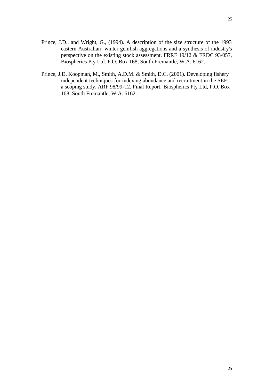25

- Prince, J.D., and Wright, G., (1994). A description of the size structure of the 1993 eastern Australian winter gemfish aggregations and a synthesis of industry's perspective on the existing stock assessment. FRRF 19/12 & FRDC 93/057, Biospherics Pty Ltd. P.O. Box 168, South Fremantle, W.A. 6162.
- Prince, J.D, Koopman, M., Smith, A.D.M. & Smith, D.C. (2001). Developing fishery independent techniques for indexing abundance and recruitment in the SEF: a scoping study. ARF 98/99-12. Final Report. Biospherics Pty Ltd, P.O. Box 168, South Fremantle, W.A. 6162.